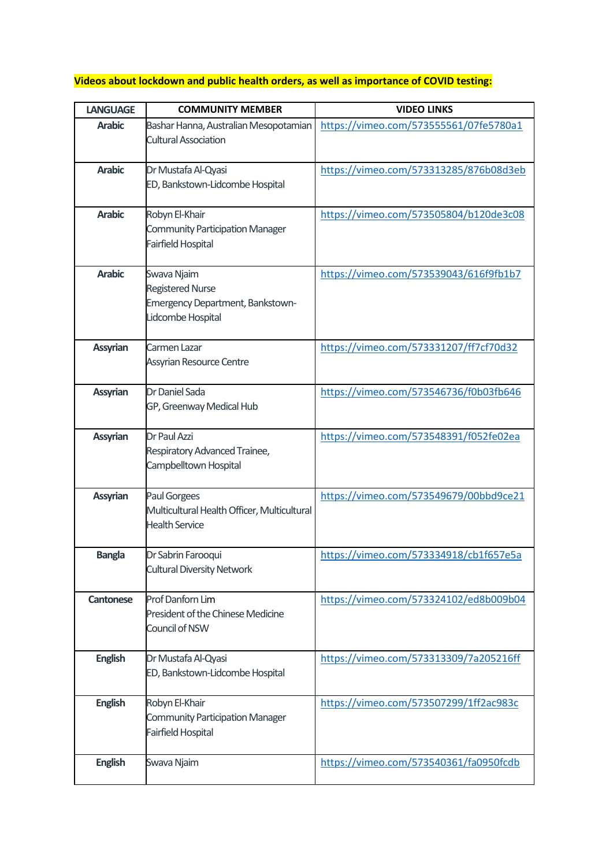## **Videos about lockdown and public health orders, as well as importance of COVID testing:**

| <b>LANGUAGE</b>  | <b>COMMUNITY MEMBER</b>                                                                         | <b>VIDEO LINKS</b>                     |
|------------------|-------------------------------------------------------------------------------------------------|----------------------------------------|
| <b>Arabic</b>    | Bashar Hanna, Australian Mesopotamian<br><b>Cultural Association</b>                            | https://vimeo.com/573555561/07fe5780a1 |
| <b>Arabic</b>    | Dr Mustafa Al-Qyasi<br>ED, Bankstown-Lidcombe Hospital                                          | https://vimeo.com/573313285/876b08d3eb |
| <b>Arabic</b>    | Robyn El-Khair<br><b>Community Participation Manager</b><br>Fairfield Hospital                  | https://vimeo.com/573505804/b120de3c08 |
| <b>Arabic</b>    | Swava Njaim<br><b>Registered Nurse</b><br>Emergency Department, Bankstown-<br>Lidcombe Hospital | https://vimeo.com/573539043/616f9fb1b7 |
| <b>Assyrian</b>  | Carmen Lazar<br><b>Assyrian Resource Centre</b>                                                 | https://vimeo.com/573331207/ff7cf70d32 |
| <b>Assyrian</b>  | Dr Daniel Sada<br>GP, Greenway Medical Hub                                                      | https://vimeo.com/573546736/f0b03fb646 |
| <b>Assyrian</b>  | Dr Paul Azzi<br>Respiratory Advanced Trainee,<br>Campbelltown Hospital                          | https://vimeo.com/573548391/f052fe02ea |
| <b>Assyrian</b>  | <b>Paul Gorgees</b><br>Multicultural Health Officer, Multicultural<br><b>Health Service</b>     | https://vimeo.com/573549679/00bbd9ce21 |
| <b>Bangla</b>    | Dr Sabrin Farooqui<br><b>Cultural Diversity Network</b>                                         | https://vimeo.com/573334918/cb1f657e5a |
| <b>Cantonese</b> | Prof Danforn Lim<br>President of the Chinese Medicine<br>Council of NSW                         | https://vimeo.com/573324102/ed8b009b04 |
| <b>English</b>   | Dr Mustafa Al-Qyasi<br>ED, Bankstown-Lidcombe Hospital                                          | https://vimeo.com/573313309/7a205216ff |
| <b>English</b>   | Robyn El-Khair<br><b>Community Participation Manager</b><br>Fairfield Hospital                  | https://vimeo.com/573507299/1ff2ac983c |
| <b>English</b>   | Swava Njaim                                                                                     | https://vimeo.com/573540361/fa0950fcdb |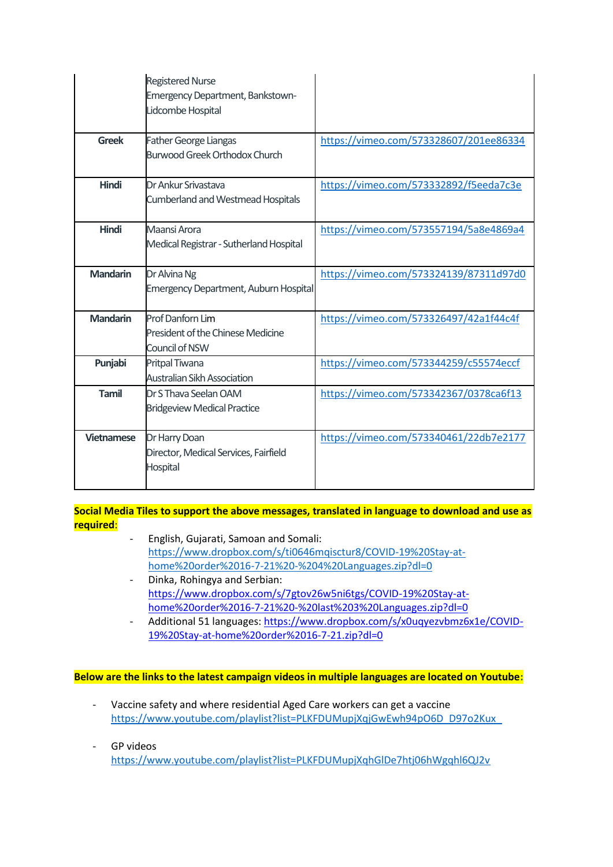|                   | <b>Registered Nurse</b><br>Emergency Department, Bankstown-<br>Lidcombe Hospital      |                                        |
|-------------------|---------------------------------------------------------------------------------------|----------------------------------------|
| <b>Greek</b>      | <b>Father George Liangas</b><br><b>Burwood Greek Orthodox Church</b>                  | https://vimeo.com/573328607/201ee86334 |
| <b>Hindi</b>      | Dr Ankur Srivastava<br><b>Cumberland and Westmead Hospitals</b>                       | https://vimeo.com/573332892/f5eeda7c3e |
| <b>Hindi</b>      | Maansi Arora<br>Medical Registrar - Sutherland Hospital                               | https://vimeo.com/573557194/5a8e4869a4 |
| <b>Mandarin</b>   | Dr Alvina Ng<br><b>Emergency Department, Auburn Hospital</b>                          | https://vimeo.com/573324139/87311d97d0 |
| <b>Mandarin</b>   | <b>Prof Danforn Lim</b><br><b>President of the Chinese Medicine</b><br>Council of NSW | https://vimeo.com/573326497/42a1f44c4f |
| Punjabi           | Pritpal Tiwana<br><b>Australian Sikh Association</b>                                  | https://vimeo.com/573344259/c55574eccf |
| <b>Tamil</b>      | Dr S Thava Seelan OAM<br><b>Bridgeview Medical Practice</b>                           | https://vimeo.com/573342367/0378ca6f13 |
| <b>Vietnamese</b> | Dr Harry Doan<br>Director, Medical Services, Fairfield<br>Hospital                    | https://vimeo.com/573340461/22db7e2177 |

**Social Media Tiles to support the above messages, translated in language to download and use as required**:

- English, Gujarati, Samoan and Somali: [https://www.dropbox.com/s/ti0646mqisctur8/COVID-19%20Stay-at](https://aus01.safelinks.protection.outlook.com/?url=https%3A%2F%2Furldefense.com%2Fv3%2F__https%3A%2Fwww.dropbox.com%2Fs%2Fti0646mqisctur8%2FCOVID-19*20Stay-at-home*20order*2016-7-21*20-*204*20Languages.zip%3Fdl%3D0__%3BJSUlJSUl!!MuTgN5zQqgRwsA!UTU-Ur4r48pvaLFcdLahv_jw4738oUdkWfVg_OmFrTc04UemG5rDHLJYfS5Kqr4GfpRJLYEaYg%24&data=04%7C01%7Csleotta%40fairfieldcity.nsw.gov.au%7Ccf88eac92b1f482459af08d94cd2208a%7Ca7b6ebbf4e1940c69c1f5c5206c9c53f%7C0%7C0%7C637625288980296165%7CUnknown%7CTWFpbGZsb3d8eyJWIjoiMC4wLjAwMDAiLCJQIjoiV2luMzIiLCJBTiI6Ik1haWwiLCJXVCI6Mn0%3D%7C2000&sdata=uGwiZgIDBSJqwZgwL0mOTLOtg%2BfTvvjY10nb%2FRv%2FZVw%3D&reserved=0)[home%20order%2016-7-21%20-%204%20Languages.zip?dl=0](https://aus01.safelinks.protection.outlook.com/?url=https%3A%2F%2Furldefense.com%2Fv3%2F__https%3A%2Fwww.dropbox.com%2Fs%2Fti0646mqisctur8%2FCOVID-19*20Stay-at-home*20order*2016-7-21*20-*204*20Languages.zip%3Fdl%3D0__%3BJSUlJSUl!!MuTgN5zQqgRwsA!UTU-Ur4r48pvaLFcdLahv_jw4738oUdkWfVg_OmFrTc04UemG5rDHLJYfS5Kqr4GfpRJLYEaYg%24&data=04%7C01%7Csleotta%40fairfieldcity.nsw.gov.au%7Ccf88eac92b1f482459af08d94cd2208a%7Ca7b6ebbf4e1940c69c1f5c5206c9c53f%7C0%7C0%7C637625288980296165%7CUnknown%7CTWFpbGZsb3d8eyJWIjoiMC4wLjAwMDAiLCJQIjoiV2luMzIiLCJBTiI6Ik1haWwiLCJXVCI6Mn0%3D%7C2000&sdata=uGwiZgIDBSJqwZgwL0mOTLOtg%2BfTvvjY10nb%2FRv%2FZVw%3D&reserved=0)
- Dinka, Rohingya and Serbian: [https://www.dropbox.com/s/7gtov26w5ni6tgs/COVID-19%20Stay-at](https://aus01.safelinks.protection.outlook.com/?url=https%3A%2F%2Furldefense.com%2Fv3%2F__https%3A%2Fwww.dropbox.com%2Fs%2F7gtov26w5ni6tgs%2FCOVID-19*20Stay-at-home*20order*2016-7-21*20-*20last*203*20Languages.zip%3Fdl%3D0__%3BJSUlJSUlJQ!!MuTgN5zQqgRwsA!UTU-Ur4r48pvaLFcdLahv_jw4738oUdkWfVg_OmFrTc04UemG5rDHLJYfS5Kqr4GfpSj-HSTyw%24&data=04%7C01%7Csleotta%40fairfieldcity.nsw.gov.au%7Ccf88eac92b1f482459af08d94cd2208a%7Ca7b6ebbf4e1940c69c1f5c5206c9c53f%7C0%7C0%7C637625288980296165%7CUnknown%7CTWFpbGZsb3d8eyJWIjoiMC4wLjAwMDAiLCJQIjoiV2luMzIiLCJBTiI6Ik1haWwiLCJXVCI6Mn0%3D%7C2000&sdata=Q2g2308nwDnxdtXVvIfMvAFQZkkFmjQIO4hwocZSv2w%3D&reserved=0)[home%20order%2016-7-21%20-%20last%203%20Languages.zip?dl=0](https://aus01.safelinks.protection.outlook.com/?url=https%3A%2F%2Furldefense.com%2Fv3%2F__https%3A%2Fwww.dropbox.com%2Fs%2F7gtov26w5ni6tgs%2FCOVID-19*20Stay-at-home*20order*2016-7-21*20-*20last*203*20Languages.zip%3Fdl%3D0__%3BJSUlJSUlJQ!!MuTgN5zQqgRwsA!UTU-Ur4r48pvaLFcdLahv_jw4738oUdkWfVg_OmFrTc04UemG5rDHLJYfS5Kqr4GfpSj-HSTyw%24&data=04%7C01%7Csleotta%40fairfieldcity.nsw.gov.au%7Ccf88eac92b1f482459af08d94cd2208a%7Ca7b6ebbf4e1940c69c1f5c5206c9c53f%7C0%7C0%7C637625288980296165%7CUnknown%7CTWFpbGZsb3d8eyJWIjoiMC4wLjAwMDAiLCJQIjoiV2luMzIiLCJBTiI6Ik1haWwiLCJXVCI6Mn0%3D%7C2000&sdata=Q2g2308nwDnxdtXVvIfMvAFQZkkFmjQIO4hwocZSv2w%3D&reserved=0)
- Additional 51 languages: [https://www.dropbox.com/s/x0uqyezvbmz6x1e/COVID-](https://aus01.safelinks.protection.outlook.com/?url=https%3A%2F%2Furldefense.com%2Fv3%2F__https%3A%2Fwww.dropbox.com%2Fs%2Fx0uqyezvbmz6x1e%2FCOVID-19*20Stay-at-home*20order*2016-7-21.zip%3Fdl%3D0__%3BJSUl!!MuTgN5zQqgRwsA!UTU-Ur4r48pvaLFcdLahv_jw4738oUdkWfVg_OmFrTc04UemG5rDHLJYfS5Kqr4GfpRqo6H_Bg%24&data=04%7C01%7Csleotta%40fairfieldcity.nsw.gov.au%7Ccf88eac92b1f482459af08d94cd2208a%7Ca7b6ebbf4e1940c69c1f5c5206c9c53f%7C0%7C0%7C637625288980306129%7CUnknown%7CTWFpbGZsb3d8eyJWIjoiMC4wLjAwMDAiLCJQIjoiV2luMzIiLCJBTiI6Ik1haWwiLCJXVCI6Mn0%3D%7C2000&sdata=sXDBPg1hrRIoyWR6BE7WWI4OGTM14knG5FYS4E9%2BMyA%3D&reserved=0)[19%20Stay-at-home%20order%2016-7-21.zip?dl=0](https://aus01.safelinks.protection.outlook.com/?url=https%3A%2F%2Furldefense.com%2Fv3%2F__https%3A%2Fwww.dropbox.com%2Fs%2Fx0uqyezvbmz6x1e%2FCOVID-19*20Stay-at-home*20order*2016-7-21.zip%3Fdl%3D0__%3BJSUl!!MuTgN5zQqgRwsA!UTU-Ur4r48pvaLFcdLahv_jw4738oUdkWfVg_OmFrTc04UemG5rDHLJYfS5Kqr4GfpRqo6H_Bg%24&data=04%7C01%7Csleotta%40fairfieldcity.nsw.gov.au%7Ccf88eac92b1f482459af08d94cd2208a%7Ca7b6ebbf4e1940c69c1f5c5206c9c53f%7C0%7C0%7C637625288980306129%7CUnknown%7CTWFpbGZsb3d8eyJWIjoiMC4wLjAwMDAiLCJQIjoiV2luMzIiLCJBTiI6Ik1haWwiLCJXVCI6Mn0%3D%7C2000&sdata=sXDBPg1hrRIoyWR6BE7WWI4OGTM14knG5FYS4E9%2BMyA%3D&reserved=0)

**Below are the links to the latest campaign videos in multiple languages are located on Youtube:**

- Vaccine safety and where residential Aged Care workers can get a vaccine [https://www.youtube.com/playlist?list=PLKFDUMupjXqjGwEwh94pO6D\\_D97o2Kux\\_](https://aus01.safelinks.protection.outlook.com/?url=https%3A%2F%2Furldefense.com%2Fv3%2F__https%3A%2Fwww.youtube.com%2Fplaylist%3Flist%3DPLKFDUMupjXqjGwEwh94pO6D_D97o2Kux___%3B!!MuTgN5zQqgRwsA!XPL91-HtIy3rT2UiQe2w0P0YhHR64kntPC2_txBbZE9iQKgaOqHVrNDPvC2e_8U85UukRuj_Uw%24&data=04%7C01%7Csleotta%40fairfieldcity.nsw.gov.au%7Ccf88eac92b1f482459af08d94cd2208a%7Ca7b6ebbf4e1940c69c1f5c5206c9c53f%7C0%7C0%7C637625288980306129%7CUnknown%7CTWFpbGZsb3d8eyJWIjoiMC4wLjAwMDAiLCJQIjoiV2luMzIiLCJBTiI6Ik1haWwiLCJXVCI6Mn0%3D%7C2000&sdata=cCsC%2FwsX5h%2BApF3GG2CavjglN8Nw7MPUcqsfvcwXp2o%3D&reserved=0)
- GP videos [https://www.youtube.com/playlist?list=PLKFDUMupjXqhGlDe7htj06hWgqhl6QJ2v](https://aus01.safelinks.protection.outlook.com/?url=https%3A%2F%2Furldefense.com%2Fv3%2F__https%3A%2Fwww.youtube.com%2Fplaylist%3Flist%3DPLKFDUMupjXqhGlDe7htj06hWgqhl6QJ2v__%3B!!MuTgN5zQqgRwsA!XPL91-HtIy3rT2UiQe2w0P0YhHR64kntPC2_txBbZE9iQKgaOqHVrNDPvC2e_8U85UtteeQwGQ%24&data=04%7C01%7Csleotta%40fairfieldcity.nsw.gov.au%7Ccf88eac92b1f482459af08d94cd2208a%7Ca7b6ebbf4e1940c69c1f5c5206c9c53f%7C0%7C0%7C637625288980316073%7CUnknown%7CTWFpbGZsb3d8eyJWIjoiMC4wLjAwMDAiLCJQIjoiV2luMzIiLCJBTiI6Ik1haWwiLCJXVCI6Mn0%3D%7C2000&sdata=BHe5oiqQ7nICM0fHsu25Az85GwIGKsTgaB%2FnrzWV%2FoY%3D&reserved=0)